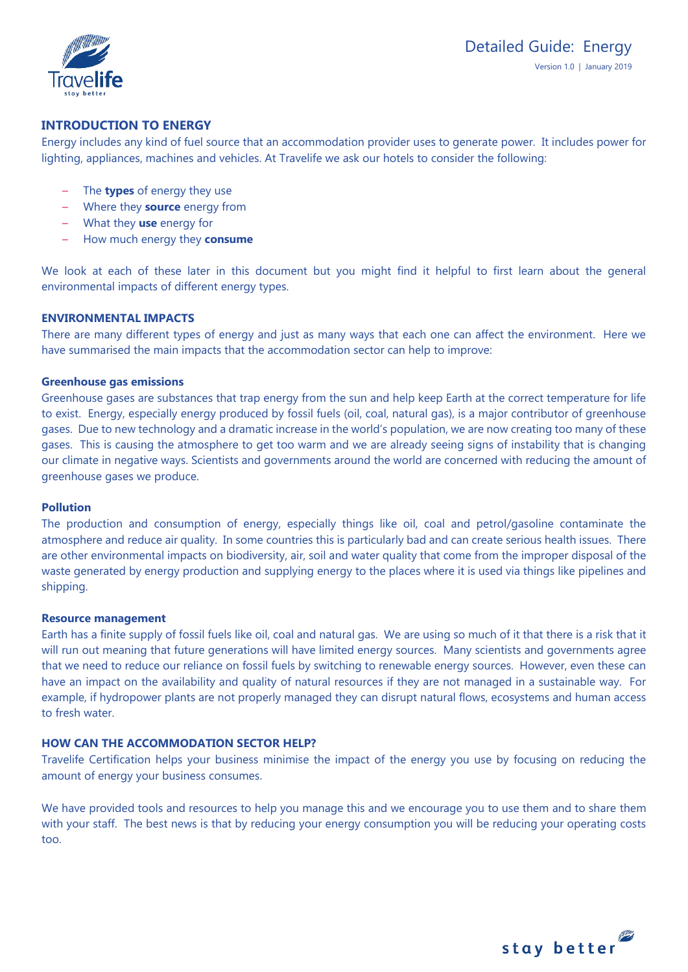

# **INTRODUCTION TO ENERGY**

Energy includes any kind of fuel source that an accommodation provider uses to generate power. It includes power for lighting, appliances, machines and vehicles. At Travelife we ask our hotels to consider the following:

- The **types** of energy they use
- Where they **source** energy from
- What they **use** energy for
- How much energy they **consume**

We look at each of these later in this document but you might find it helpful to first learn about the general environmental impacts of different energy types.

### **ENVIRONMENTAL IMPACTS**

There are many different types of energy and just as many ways that each one can affect the environment. Here we have summarised the main impacts that the accommodation sector can help to improve:

### **Greenhouse gas emissions**

Greenhouse gases are substances that trap energy from the sun and help keep Earth at the correct temperature for life to exist. Energy, especially energy produced by fossil fuels (oil, coal, natural gas), is a major contributor of greenhouse gases. Due to new technology and a dramatic increase in the world's population, we are now creating too many of these gases. This is causing the atmosphere to get too warm and we are already seeing signs of instability that is changing our climate in negative ways. Scientists and governments around the world are concerned with reducing the amount of greenhouse gases we produce.

#### **Pollution**

The production and consumption of energy, especially things like oil, coal and petrol/gasoline contaminate the atmosphere and reduce air quality. In some countries this is particularly bad and can create serious health issues. There are other environmental impacts on biodiversity, air, soil and water quality that come from the improper disposal of the waste generated by energy production and supplying energy to the places where it is used via things like pipelines and shipping.

#### **Resource management**

Earth has a finite supply of fossil fuels like oil, coal and natural gas. We are using so much of it that there is a risk that it will run out meaning that future generations will have limited energy sources. Many scientists and governments agree that we need to reduce our reliance on fossil fuels by switching to renewable energy sources. However, even these can have an impact on the availability and quality of natural resources if they are not managed in a sustainable way. For example, if hydropower plants are not properly managed they can disrupt natural flows, ecosystems and human access to fresh water.

# **HOW CAN THE ACCOMMODATION SECTOR HELP?**

Travelife Certification helps your business minimise the impact of the energy you use by focusing on reducing the amount of energy your business consumes.

We have provided tools and resources to help you manage this and we encourage you to use them and to share them with your staff. The best news is that by reducing your energy consumption you will be reducing your operating costs too.

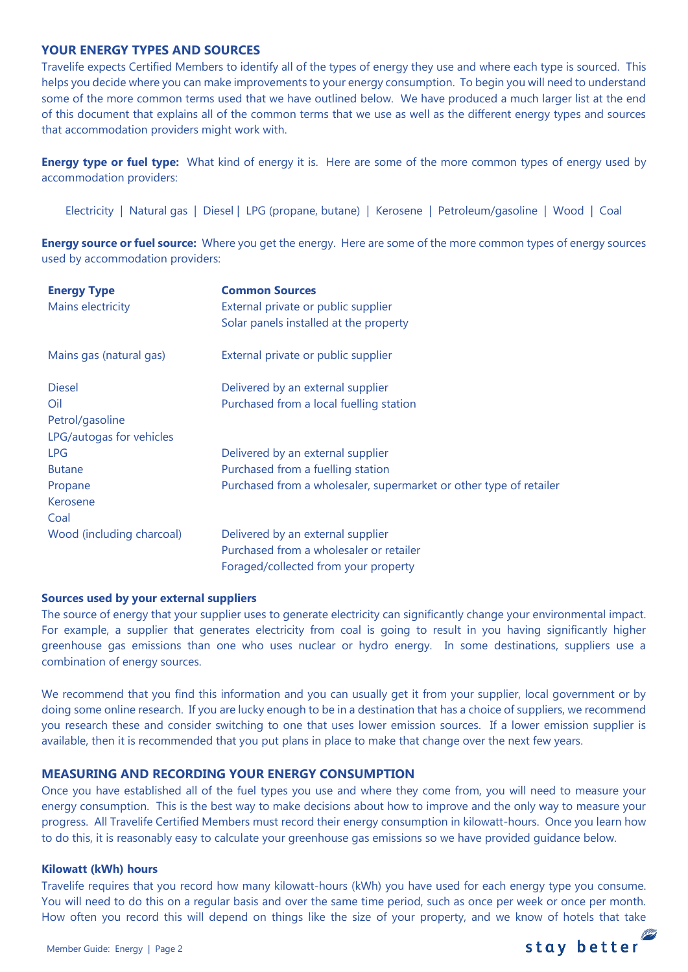# **YOUR ENERGY TYPES AND SOURCES**

Travelife expects Certified Members to identify all of the types of energy they use and where each type is sourced. This helps you decide where you can make improvements to your energy consumption. To begin you will need to understand some of the more common terms used that we have outlined below. We have produced a much larger list at the end of this document that explains all of the common terms that we use as well as the different energy types and sources that accommodation providers might work with.

**Energy type or fuel type:** What kind of energy it is. Here are some of the more common types of energy used by accommodation providers:

Electricity | Natural gas | Diesel | LPG (propane, butane) | Kerosene | Petroleum/gasoline | Wood | Coal

**Energy source or fuel source:** Where you get the energy. Here are some of the more common types of energy sources used by accommodation providers:

| <b>Energy Type</b><br>Mains electricity | <b>Common Sources</b><br>External private or public supplier       |
|-----------------------------------------|--------------------------------------------------------------------|
|                                         | Solar panels installed at the property                             |
| Mains gas (natural gas)                 | External private or public supplier                                |
| <b>Diesel</b>                           | Delivered by an external supplier                                  |
| Oil                                     | Purchased from a local fuelling station                            |
| Petrol/gasoline                         |                                                                    |
| LPG/autogas for vehicles                |                                                                    |
| <b>LPG</b>                              | Delivered by an external supplier                                  |
| <b>Butane</b>                           | Purchased from a fuelling station                                  |
| Propane                                 | Purchased from a wholesaler, supermarket or other type of retailer |
| Kerosene                                |                                                                    |
| Coal                                    |                                                                    |
| Wood (including charcoal)               | Delivered by an external supplier                                  |
|                                         | Purchased from a wholesaler or retailer                            |
|                                         | Foraged/collected from your property                               |

#### **Sources used by your external suppliers**

The source of energy that your supplier uses to generate electricity can significantly change your environmental impact. For example, a supplier that generates electricity from coal is going to result in you having significantly higher greenhouse gas emissions than one who uses nuclear or hydro energy. In some destinations, suppliers use a combination of energy sources.

We recommend that you find this information and you can usually get it from your supplier, local government or by doing some online research. If you are lucky enough to be in a destination that has a choice of suppliers, we recommend you research these and consider switching to one that uses lower emission sources. If a lower emission supplier is available, then it is recommended that you put plans in place to make that change over the next few years.

#### **MEASURING AND RECORDING YOUR ENERGY CONSUMPTION**

Once you have established all of the fuel types you use and where they come from, you will need to measure your energy consumption. This is the best way to make decisions about how to improve and the only way to measure your progress. All Travelife Certified Members must record their energy consumption in kilowatt-hours. Once you learn how to do this, it is reasonably easy to calculate your greenhouse gas emissions so we have provided guidance below.

#### **Kilowatt (kWh) hours**

Travelife requires that you record how many kilowatt-hours (kWh) you have used for each energy type you consume. You will need to do this on a regular basis and over the same time period, such as once per week or once per month. How often you record this will depend on things like the size of your property, and we know of hotels that take

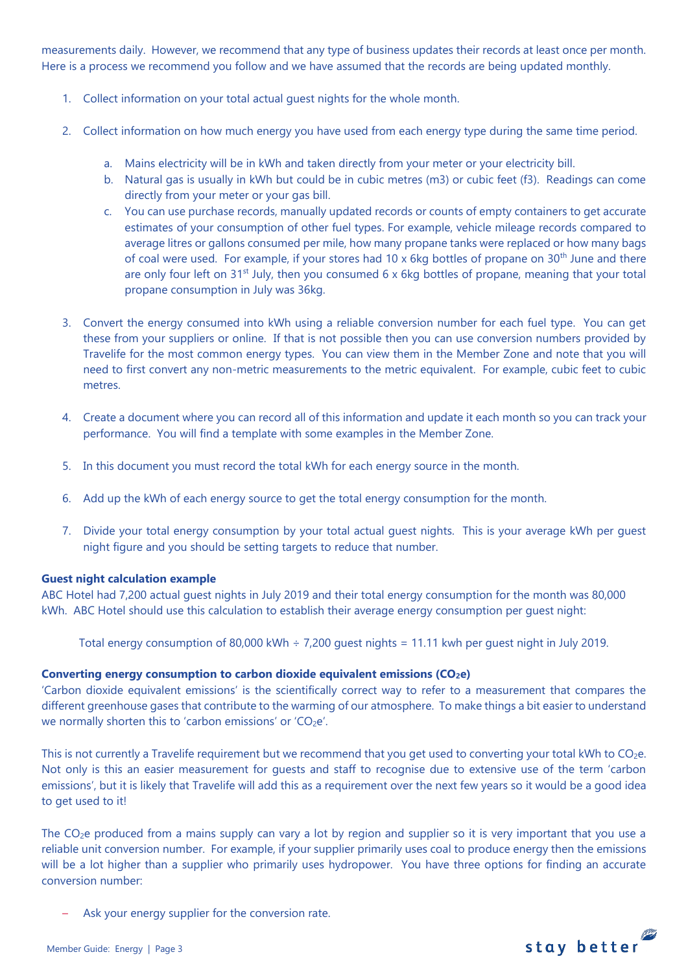measurements daily. However, we recommend that any type of business updates their records at least once per month. Here is a process we recommend you follow and we have assumed that the records are being updated monthly.

- 1. Collect information on your total actual guest nights for the whole month.
- 2. Collect information on how much energy you have used from each energy type during the same time period.
	- a. Mains electricity will be in kWh and taken directly from your meter or your electricity bill.
	- b. Natural gas is usually in kWh but could be in cubic metres (m3) or cubic feet (f3). Readings can come directly from your meter or your gas bill.
	- c. You can use purchase records, manually updated records or counts of empty containers to get accurate estimates of your consumption of other fuel types. For example, vehicle mileage records compared to average litres or gallons consumed per mile, how many propane tanks were replaced or how many bags of coal were used. For example, if your stores had 10 x 6kg bottles of propane on  $30<sup>th</sup>$  June and there are only four left on  $31<sup>st</sup>$  July, then you consumed 6 x 6kg bottles of propane, meaning that your total propane consumption in July was 36kg.
- 3. Convert the energy consumed into kWh using a reliable conversion number for each fuel type. You can get these from your suppliers or online. If that is not possible then you can use conversion numbers provided by Travelife for the most common energy types. You can view them in the Member Zone and note that you will need to first convert any non-metric measurements to the metric equivalent. For example, cubic feet to cubic metres.
- 4. Create a document where you can record all of this information and update it each month so you can track your performance. You will find a template with some examples in the Member Zone.
- 5. In this document you must record the total kWh for each energy source in the month.
- 6. Add up the kWh of each energy source to get the total energy consumption for the month.
- 7. Divide your total energy consumption by your total actual guest nights. This is your average kWh per guest night figure and you should be setting targets to reduce that number.

# **Guest night calculation example**

ABC Hotel had 7,200 actual guest nights in July 2019 and their total energy consumption for the month was 80,000 kWh. ABC Hotel should use this calculation to establish their average energy consumption per guest night:

Total energy consumption of 80,000 kWh ÷ 7,200 guest nights = 11.11 kwh per guest night in July 2019.

# **Converting energy consumption to carbon dioxide equivalent emissions (CO2e)**

'Carbon dioxide equivalent emissions' is the scientifically correct way to refer to a measurement that compares the different greenhouse gases that contribute to the warming of our atmosphere. To make things a bit easier to understand we normally shorten this to 'carbon emissions' or 'CO<sub>2</sub>e'.

This is not currently a Travelife requirement but we recommend that you get used to converting your total kWh to  $CO<sub>2</sub>e$ . Not only is this an easier measurement for guests and staff to recognise due to extensive use of the term 'carbon emissions', but it is likely that Travelife will add this as a requirement over the next few years so it would be a good idea to get used to it!

The  $CO<sub>2</sub>e$  produced from a mains supply can vary a lot by region and supplier so it is very important that you use a reliable unit conversion number. For example, if your supplier primarily uses coal to produce energy then the emissions will be a lot higher than a supplier who primarily uses hydropower. You have three options for finding an accurate conversion number:

Ask your energy supplier for the conversion rate.

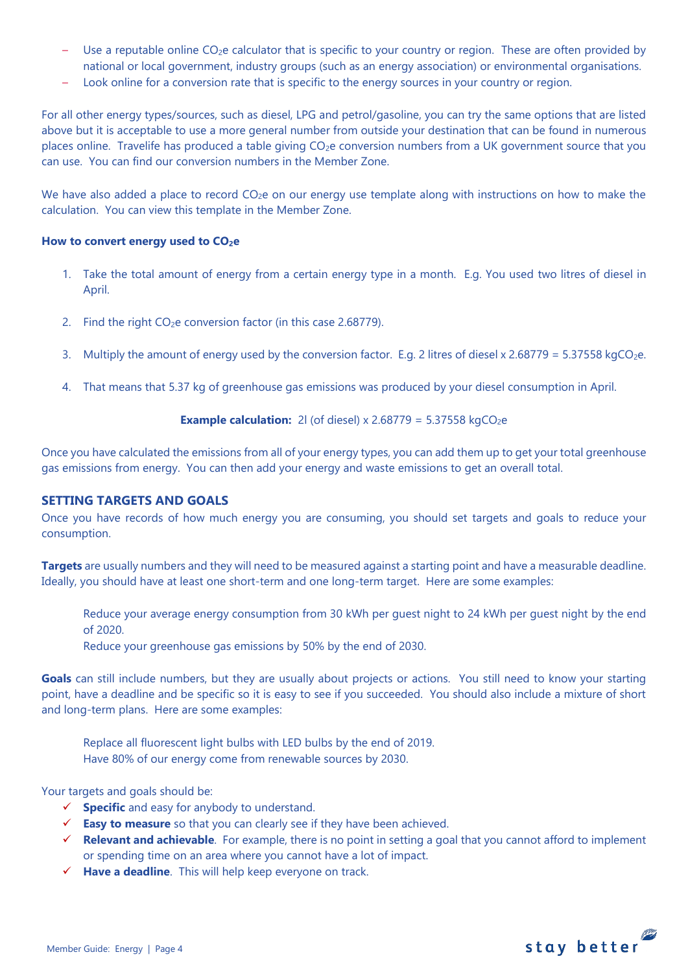- Use a reputable online CO<sub>2</sub>e calculator that is specific to your country or region. These are often provided by national or local government, industry groups (such as an energy association) or environmental organisations.
- Look online for a conversion rate that is specific to the energy sources in your country or region.

For all other energy types/sources, such as diesel, LPG and petrol/gasoline, you can try the same options that are listed above but it is acceptable to use a more general number from outside your destination that can be found in numerous places online. Travelife has produced a table giving CO<sub>2</sub>e conversion numbers from a UK government source that you can use. You can find our conversion numbers in the Member Zone.

We have also added a place to record  $CO<sub>2</sub>e$  on our energy use template along with instructions on how to make the calculation. You can view this template in the Member Zone.

#### **How to convert energy used to CO2e**

- 1. Take the total amount of energy from a certain energy type in a month. E.g. You used two litres of diesel in April.
- 2. Find the right  $CO<sub>2</sub>e$  conversion factor (in this case 2.68779).
- 3. Multiply the amount of energy used by the conversion factor. E.g. 2 litres of diesel x 2.68779 = 5.37558 kgCO<sub>2</sub>e.
- 4. That means that 5.37 kg of greenhouse gas emissions was produced by your diesel consumption in April.

**Example calculation:** 2I (of diesel) 
$$
x \cdot 2.68779 = 5.37558 \, \text{kgCO}_2\text{e}
$$

Once you have calculated the emissions from all of your energy types, you can add them up to get your total greenhouse gas emissions from energy. You can then add your energy and waste emissions to get an overall total.

# **SETTING TARGETS AND GOALS**

Once you have records of how much energy you are consuming, you should set targets and goals to reduce your consumption.

**Targets** are usually numbers and they will need to be measured against a starting point and have a measurable deadline. Ideally, you should have at least one short-term and one long-term target. Here are some examples:

Reduce your average energy consumption from 30 kWh per guest night to 24 kWh per guest night by the end of 2020.

Reduce your greenhouse gas emissions by 50% by the end of 2030.

**Goals** can still include numbers, but they are usually about projects or actions. You still need to know your starting point, have a deadline and be specific so it is easy to see if you succeeded. You should also include a mixture of short and long-term plans. Here are some examples:

Replace all fluorescent light bulbs with LED bulbs by the end of 2019. Have 80% of our energy come from renewable sources by 2030.

Your targets and goals should be:

- **Specific** and easy for anybody to understand.
- **Easy to measure** so that you can clearly see if they have been achieved.
- **Relevant and achievable**. For example, there is no point in setting a goal that you cannot afford to implement or spending time on an area where you cannot have a lot of impact.
- **Have a deadline**. This will help keep everyone on track.

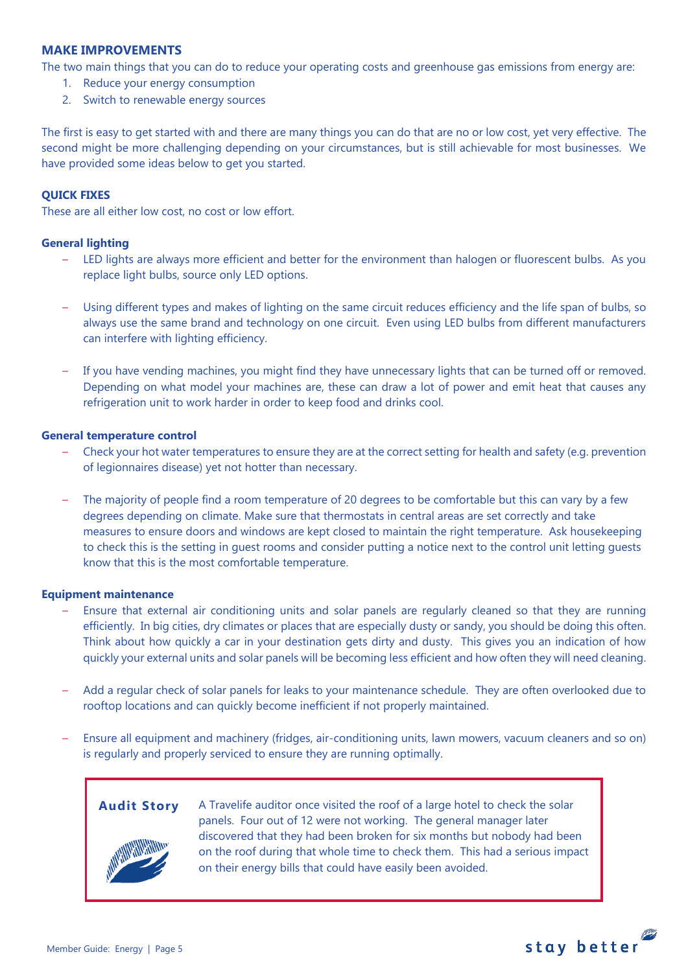# **MAKE IMPROVEMENTS**

The two main things that you can do to reduce your operating costs and greenhouse gas emissions from energy are:

- 1. Reduce your energy consumption
- 2. Switch to renewable energy sources

The first is easy to get started with and there are many things you can do that are no or low cost, yet very effective. The second might be more challenging depending on your circumstances, but is still achievable for most businesses. We have provided some ideas below to get you started.

# **QUICK FIXES**

These are all either low cost, no cost or low effort.

# **General lighting**

- LED lights are always more efficient and better for the environment than halogen or fluorescent bulbs. As you replace light bulbs, source only LED options.
- Using different types and makes of lighting on the same circuit reduces efficiency and the life span of bulbs, so always use the same brand and technology on one circuit. Even using LED bulbs from different manufacturers can interfere with lighting efficiency.
- If you have vending machines, you might find they have unnecessary lights that can be turned off or removed. Depending on what model your machines are, these can draw a lot of power and emit heat that causes any refrigeration unit to work harder in order to keep food and drinks cool.

#### **General temperature control**

- Check your hot water temperatures to ensure they are at the correct setting for health and safety (e.g. prevention of legionnaires disease) yet not hotter than necessary.
- The majority of people find a room temperature of 20 degrees to be comfortable but this can vary by a few degrees depending on climate. Make sure that thermostats in central areas are set correctly and take measures to ensure doors and windows are kept closed to maintain the right temperature. Ask housekeeping to check this is the setting in guest rooms and consider putting a notice next to the control unit letting guests know that this is the most comfortable temperature.

#### **Equipment maintenance**

- Ensure that external air conditioning units and solar panels are regularly cleaned so that they are running efficiently. In big cities, dry climates or places that are especially dusty or sandy, you should be doing this often. Think about how quickly a car in your destination gets dirty and dusty. This gives you an indication of how quickly your external units and solar panels will be becoming less efficient and how often they will need cleaning.
- Add a regular check of solar panels for leaks to your maintenance schedule. They are often overlooked due to rooftop locations and can quickly become inefficient if not properly maintained.
- Ensure all equipment and machinery (fridges, air-conditioning units, lawn mowers, vacuum cleaners and so on) is regularly and properly serviced to ensure they are running optimally.



**Audit Story** A Travelife auditor once visited the roof of a large hotel to check the solar panels. Four out of 12 were not working. The general manager later discovered that they had been broken for six months but nobody had been on the roof during that whole time to check them. This had a serious impact on their energy bills that could have easily been avoided.

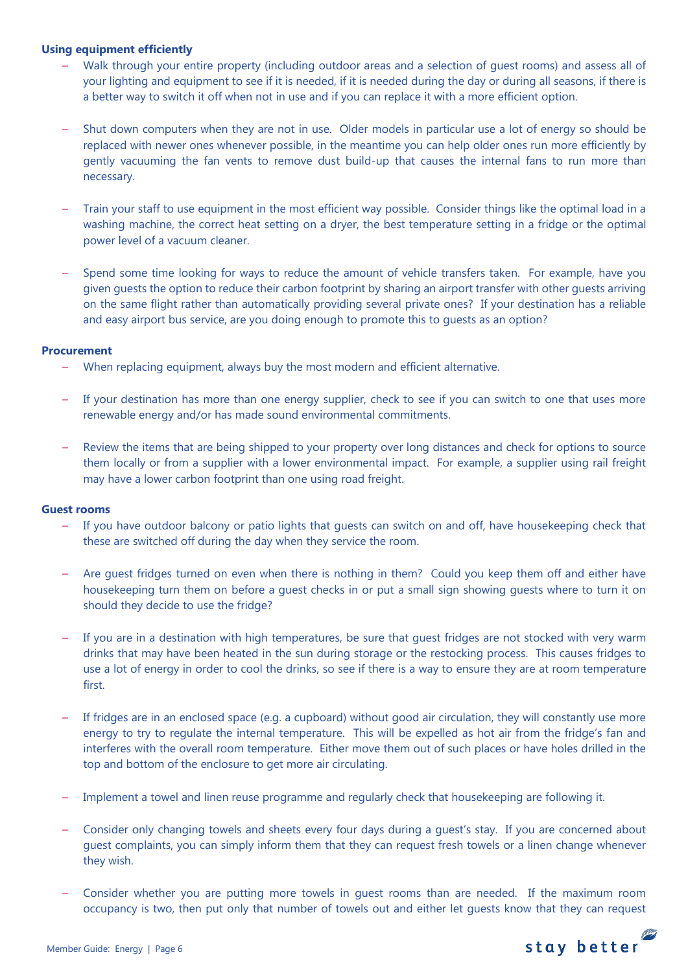# **Using equipment efficiently**

- Walk through your entire property (including outdoor areas and a selection of guest rooms) and assess all of your lighting and equipment to see if it is needed, if it is needed during the day or during all seasons, if there is a better way to switch it off when not in use and if you can replace it with a more efficient option.
- Shut down computers when they are not in use. Older models in particular use a lot of energy so should be replaced with newer ones whenever possible, in the meantime you can help older ones run more efficiently by gently vacuuming the fan vents to remove dust build-up that causes the internal fans to run more than necessary.
- Train your staff to use equipment in the most efficient way possible. Consider things like the optimal load in a washing machine, the correct heat setting on a dryer, the best temperature setting in a fridge or the optimal power level of a vacuum cleaner.
- Spend some time looking for ways to reduce the amount of vehicle transfers taken. For example, have you given guests the option to reduce their carbon footprint by sharing an airport transfer with other guests arriving on the same flight rather than automatically providing several private ones? If your destination has a reliable and easy airport bus service, are you doing enough to promote this to guests as an option?

### **Procurement**

- When replacing equipment, always buy the most modern and efficient alternative.
- If your destination has more than one energy supplier, check to see if you can switch to one that uses more renewable energy and/or has made sound environmental commitments.
- Review the items that are being shipped to your property over long distances and check for options to source them locally or from a supplier with a lower environmental impact. For example, a supplier using rail freight may have a lower carbon footprint than one using road freight.

#### **Guest rooms**

- If you have outdoor balcony or patio lights that guests can switch on and off, have housekeeping check that these are switched off during the day when they service the room.
- Are guest fridges turned on even when there is nothing in them? Could you keep them off and either have housekeeping turn them on before a guest checks in or put a small sign showing guests where to turn it on should they decide to use the fridge?
- If you are in a destination with high temperatures, be sure that quest fridges are not stocked with very warm drinks that may have been heated in the sun during storage or the restocking process. This causes fridges to use a lot of energy in order to cool the drinks, so see if there is a way to ensure they are at room temperature first.
- If fridges are in an enclosed space (e.g. a cupboard) without good air circulation, they will constantly use more energy to try to regulate the internal temperature. This will be expelled as hot air from the fridge's fan and interferes with the overall room temperature. Either move them out of such places or have holes drilled in the top and bottom of the enclosure to get more air circulating.
- Implement a towel and linen reuse programme and regularly check that housekeeping are following it.
- Consider only changing towels and sheets every four days during a guest's stay. If you are concerned about guest complaints, you can simply inform them that they can request fresh towels or a linen change whenever they wish.
- Consider whether you are putting more towels in guest rooms than are needed. If the maximum room occupancy is two, then put only that number of towels out and either let guests know that they can request

stay better

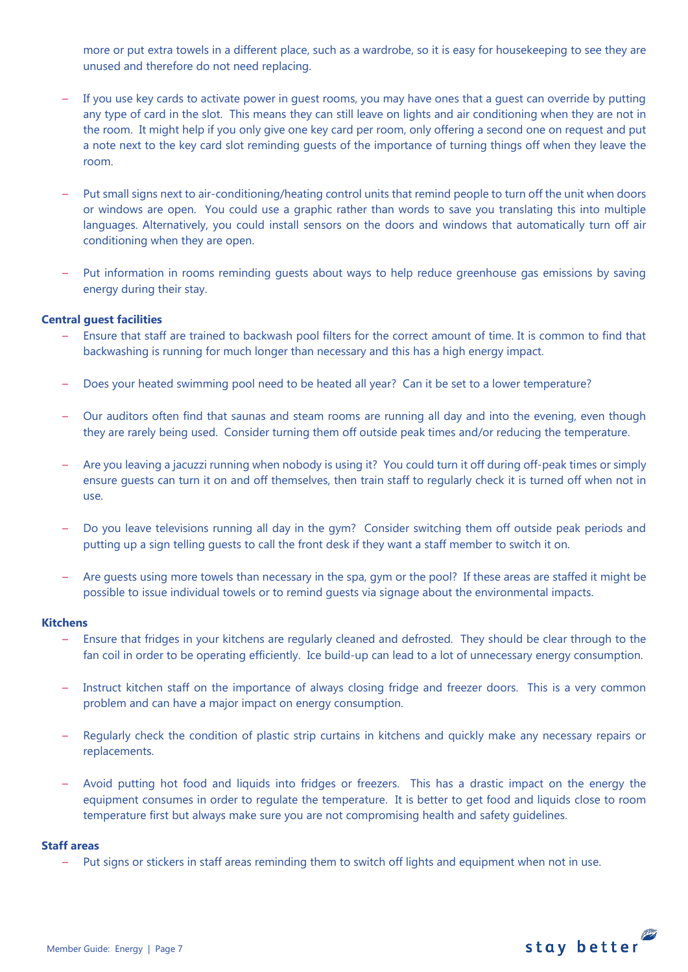more or put extra towels in a different place, such as a wardrobe, so it is easy for housekeeping to see they are unused and therefore do not need replacing.

- If you use key cards to activate power in guest rooms, you may have ones that a guest can override by putting any type of card in the slot. This means they can still leave on lights and air conditioning when they are not in the room. It might help if you only give one key card per room, only offering a second one on request and put a note next to the key card slot reminding guests of the importance of turning things off when they leave the room.
- Put small signs next to air-conditioning/heating control units that remind people to turn off the unit when doors or windows are open. You could use a graphic rather than words to save you translating this into multiple languages. Alternatively, you could install sensors on the doors and windows that automatically turn off air conditioning when they are open.
- Put information in rooms reminding guests about ways to help reduce greenhouse gas emissions by saving energy during their stay.

### **Central guest facilities**

- Ensure that staff are trained to backwash pool filters for the correct amount of time. It is common to find that backwashing is running for much longer than necessary and this has a high energy impact.
- Does your heated swimming pool need to be heated all year? Can it be set to a lower temperature?
- Our auditors often find that saunas and steam rooms are running all day and into the evening, even though they are rarely being used. Consider turning them off outside peak times and/or reducing the temperature.
- Are you leaving a jacuzzi running when nobody is using it? You could turn it off during off-peak times or simply ensure guests can turn it on and off themselves, then train staff to regularly check it is turned off when not in use.
- Do you leave televisions running all day in the gym? Consider switching them off outside peak periods and putting up a sign telling guests to call the front desk if they want a staff member to switch it on.
- Are guests using more towels than necessary in the spa, gym or the pool? If these areas are staffed it might be possible to issue individual towels or to remind guests via signage about the environmental impacts.

#### **Kitchens**

- Ensure that fridges in your kitchens are regularly cleaned and defrosted. They should be clear through to the fan coil in order to be operating efficiently. Ice build-up can lead to a lot of unnecessary energy consumption.
- Instruct kitchen staff on the importance of always closing fridge and freezer doors. This is a very common problem and can have a major impact on energy consumption.
- Regularly check the condition of plastic strip curtains in kitchens and quickly make any necessary repairs or replacements.
- Avoid putting hot food and liquids into fridges or freezers. This has a drastic impact on the energy the equipment consumes in order to regulate the temperature. It is better to get food and liquids close to room temperature first but always make sure you are not compromising health and safety guidelines.

#### **Staff areas**

– Put signs or stickers in staff areas reminding them to switch off lights and equipment when not in use.

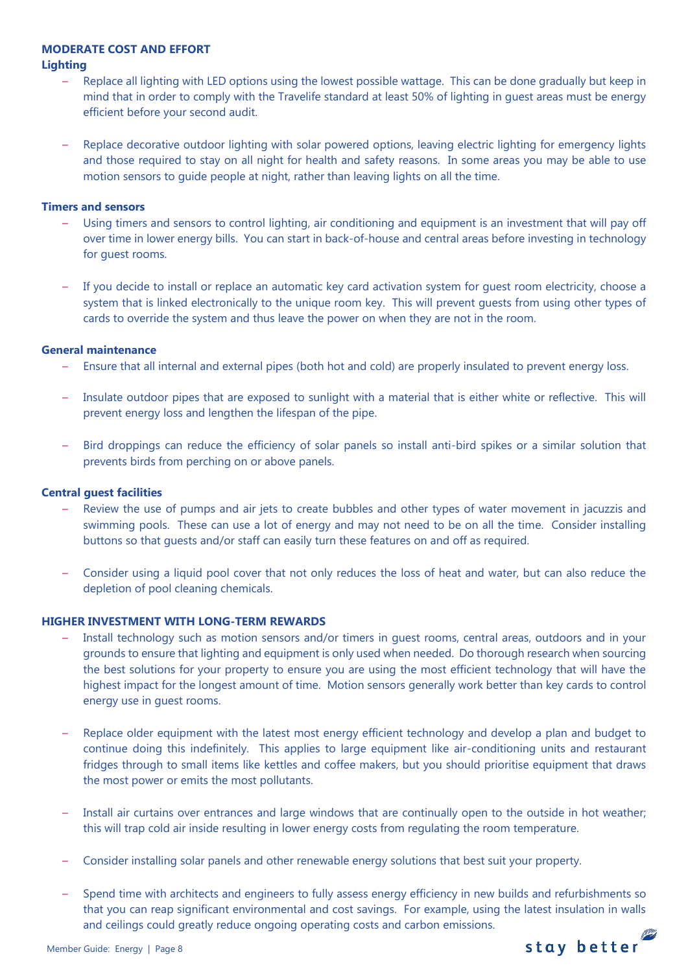# **MODERATE COST AND EFFORT**

### **Lighting**

- Replace all lighting with LED options using the lowest possible wattage. This can be done gradually but keep in mind that in order to comply with the Travelife standard at least 50% of lighting in guest areas must be energy efficient before your second audit.
- Replace decorative outdoor lighting with solar powered options, leaving electric lighting for emergency lights and those required to stay on all night for health and safety reasons. In some areas you may be able to use motion sensors to guide people at night, rather than leaving lights on all the time.

### **Timers and sensors**

- Using timers and sensors to control lighting, air conditioning and equipment is an investment that will pay off over time in lower energy bills. You can start in back-of-house and central areas before investing in technology for guest rooms.
- If you decide to install or replace an automatic key card activation system for guest room electricity, choose a system that is linked electronically to the unique room key. This will prevent guests from using other types of cards to override the system and thus leave the power on when they are not in the room.

# **General maintenance**

- Ensure that all internal and external pipes (both hot and cold) are properly insulated to prevent energy loss.
- Insulate outdoor pipes that are exposed to sunlight with a material that is either white or reflective. This will prevent energy loss and lengthen the lifespan of the pipe.
- Bird droppings can reduce the efficiency of solar panels so install anti-bird spikes or a similar solution that prevents birds from perching on or above panels.

# **Central guest facilities**

- Review the use of pumps and air jets to create bubbles and other types of water movement in jacuzzis and swimming pools. These can use a lot of energy and may not need to be on all the time. Consider installing buttons so that guests and/or staff can easily turn these features on and off as required.
- Consider using a liquid pool cover that not only reduces the loss of heat and water, but can also reduce the depletion of pool cleaning chemicals.

# **HIGHER INVESTMENT WITH LONG-TERM REWARDS**

- Install technology such as motion sensors and/or timers in guest rooms, central areas, outdoors and in your grounds to ensure that lighting and equipment is only used when needed. Do thorough research when sourcing the best solutions for your property to ensure you are using the most efficient technology that will have the highest impact for the longest amount of time. Motion sensors generally work better than key cards to control energy use in guest rooms.
- Replace older equipment with the latest most energy efficient technology and develop a plan and budget to continue doing this indefinitely. This applies to large equipment like air-conditioning units and restaurant fridges through to small items like kettles and coffee makers, but you should prioritise equipment that draws the most power or emits the most pollutants.
- Install air curtains over entrances and large windows that are continually open to the outside in hot weather; this will trap cold air inside resulting in lower energy costs from regulating the room temperature.
- Consider installing solar panels and other renewable energy solutions that best suit your property.
- Spend time with architects and engineers to fully assess energy efficiency in new builds and refurbishments so that you can reap significant environmental and cost savings. For example, using the latest insulation in walls and ceilings could greatly reduce ongoing operating costs and carbon emissions.

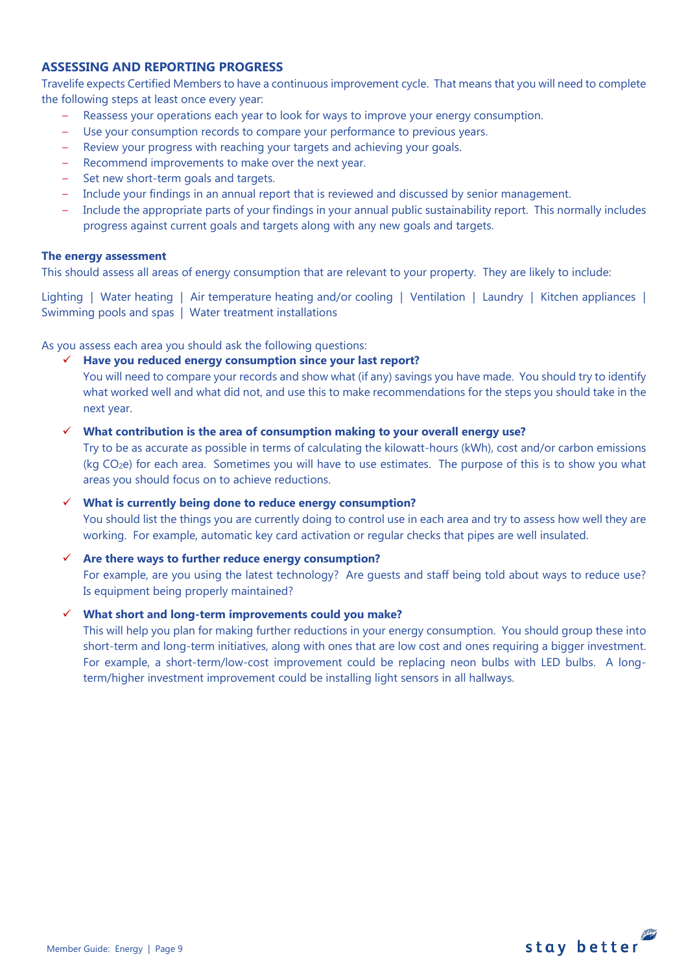# **ASSESSING AND REPORTING PROGRESS**

Travelife expects Certified Members to have a continuous improvement cycle. That means that you will need to complete the following steps at least once every year:

- Reassess your operations each year to look for ways to improve your energy consumption.
- Use your consumption records to compare your performance to previous years.
- Review your progress with reaching your targets and achieving your goals.
- Recommend improvements to make over the next year.
- Set new short-term goals and targets.
- Include your findings in an annual report that is reviewed and discussed by senior management.
- Include the appropriate parts of your findings in your annual public sustainability report. This normally includes progress against current goals and targets along with any new goals and targets.

#### **The energy assessment**

This should assess all areas of energy consumption that are relevant to your property. They are likely to include:

Lighting | Water heating | Air temperature heating and/or cooling | Ventilation | Laundry | Kitchen appliances | Swimming pools and spas | Water treatment installations

As you assess each area you should ask the following questions:

#### **Have you reduced energy consumption since your last report?**

You will need to compare your records and show what (if any) savings you have made. You should try to identify what worked well and what did not, and use this to make recommendations for the steps you should take in the next year.

#### **What contribution is the area of consumption making to your overall energy use?**

Try to be as accurate as possible in terms of calculating the kilowatt-hours (kWh), cost and/or carbon emissions (kg CO<sub>2</sub>e) for each area. Sometimes you will have to use estimates. The purpose of this is to show you what areas you should focus on to achieve reductions.

#### **What is currently being done to reduce energy consumption?**

You should list the things you are currently doing to control use in each area and try to assess how well they are working. For example, automatic key card activation or regular checks that pipes are well insulated.

#### **Are there ways to further reduce energy consumption?**

For example, are you using the latest technology? Are guests and staff being told about ways to reduce use? Is equipment being properly maintained?

### **What short and long-term improvements could you make?**

This will help you plan for making further reductions in your energy consumption. You should group these into short-term and long-term initiatives, along with ones that are low cost and ones requiring a bigger investment. For example, a short-term/low-cost improvement could be replacing neon bulbs with LED bulbs. A longterm/higher investment improvement could be installing light sensors in all hallways.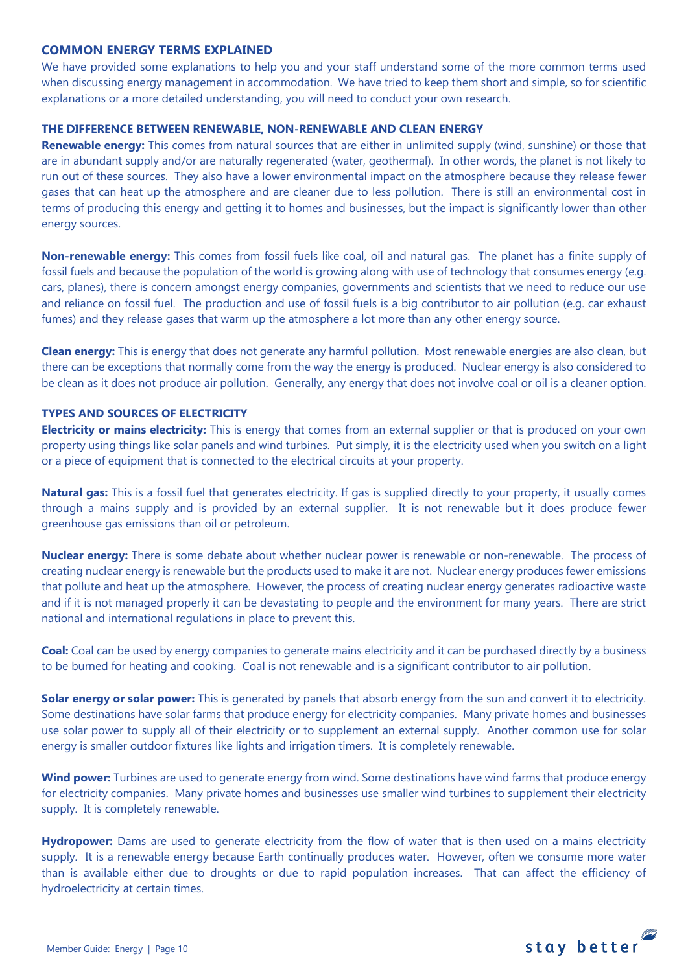# **COMMON ENERGY TERMS EXPLAINED**

We have provided some explanations to help you and your staff understand some of the more common terms used when discussing energy management in accommodation. We have tried to keep them short and simple, so for scientific explanations or a more detailed understanding, you will need to conduct your own research.

#### **THE DIFFERENCE BETWEEN RENEWABLE, NON-RENEWABLE AND CLEAN ENERGY**

**Renewable energy:** This comes from natural sources that are either in unlimited supply (wind, sunshine) or those that are in abundant supply and/or are naturally regenerated (water, geothermal). In other words, the planet is not likely to run out of these sources. They also have a lower environmental impact on the atmosphere because they release fewer gases that can heat up the atmosphere and are cleaner due to less pollution. There is still an environmental cost in terms of producing this energy and getting it to homes and businesses, but the impact is significantly lower than other energy sources.

**Non-renewable energy:** This comes from fossil fuels like coal, oil and natural gas. The planet has a finite supply of fossil fuels and because the population of the world is growing along with use of technology that consumes energy (e.g. cars, planes), there is concern amongst energy companies, governments and scientists that we need to reduce our use and reliance on fossil fuel. The production and use of fossil fuels is a big contributor to air pollution (e.g. car exhaust fumes) and they release gases that warm up the atmosphere a lot more than any other energy source.

**Clean energy:** This is energy that does not generate any harmful pollution. Most renewable energies are also clean, but there can be exceptions that normally come from the way the energy is produced. Nuclear energy is also considered to be clean as it does not produce air pollution. Generally, any energy that does not involve coal or oil is a cleaner option.

# **TYPES AND SOURCES OF ELECTRICITY**

**Electricity or mains electricity:** This is energy that comes from an external supplier or that is produced on your own property using things like solar panels and wind turbines. Put simply, it is the electricity used when you switch on a light or a piece of equipment that is connected to the electrical circuits at your property.

**Natural gas:** This is a fossil fuel that generates electricity. If gas is supplied directly to your property, it usually comes through a mains supply and is provided by an external supplier. It is not renewable but it does produce fewer greenhouse gas emissions than oil or petroleum.

**Nuclear energy:** There is some debate about whether nuclear power is renewable or non-renewable. The process of creating nuclear energy is renewable but the products used to make it are not. Nuclear energy produces fewer emissions that pollute and heat up the atmosphere. However, the process of creating nuclear energy generates radioactive waste and if it is not managed properly it can be devastating to people and the environment for many years. There are strict national and international regulations in place to prevent this.

**Coal:** Coal can be used by energy companies to generate mains electricity and it can be purchased directly by a business to be burned for heating and cooking. Coal is not renewable and is a significant contributor to air pollution.

**Solar energy or solar power:** This is generated by panels that absorb energy from the sun and convert it to electricity. Some destinations have solar farms that produce energy for electricity companies. Many private homes and businesses use solar power to supply all of their electricity or to supplement an external supply. Another common use for solar energy is smaller outdoor fixtures like lights and irrigation timers. It is completely renewable.

**Wind power:** Turbines are used to generate energy from wind. Some destinations have wind farms that produce energy for electricity companies. Many private homes and businesses use smaller wind turbines to supplement their electricity supply. It is completely renewable.

**Hydropower:** Dams are used to generate electricity from the flow of water that is then used on a mains electricity supply. It is a renewable energy because Earth continually produces water. However, often we consume more water than is available either due to droughts or due to rapid population increases. That can affect the efficiency of hydroelectricity at certain times.